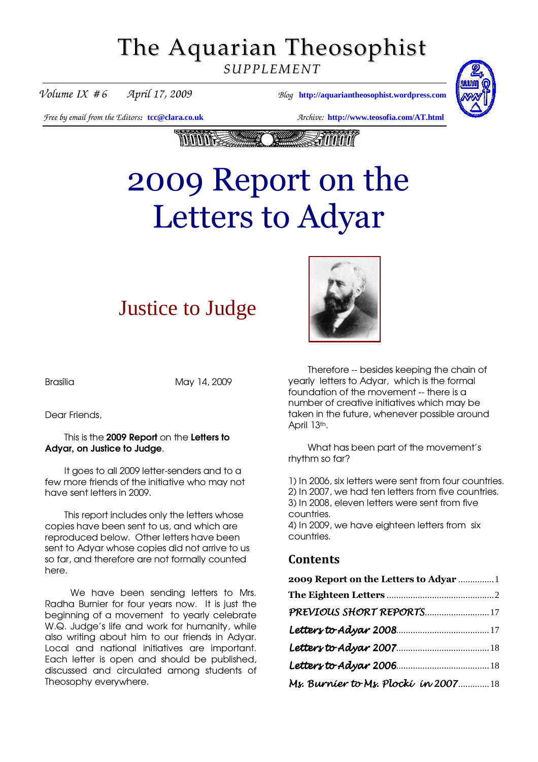# The Aquarian Theosophist

*SUPPLEMENT*



*Volume IX # 6 April 17, 2009 Blog* **[http://aquariantheosophist.wordpress.com](http://aquariantheosophist.wordpress.com/)**

*Free by email from the Editors:* **[tcc@clara.co.uk](mailto:tcc@clara.co.uk)** *Archive:* **<http://www.teosofia.com/AT.html>**



# 2009 Report on the Letters to Adyar

# Justice to Judge



Brasília May 14, 2009

Dear Friends,

#### This is the 2009 Report on the Letters to Adyar, on Justice to Judge.

It goes to all 2009 letter-senders and to a few more friends of the initiative who may not have sent letters in 2009.

This report includes only the letters whose copies have been sent to us, and which are reproduced below. Other letters have been sent to Adyar whose copies did not arrive to us so far, and therefore are not formally counted here.

We have been sending letters to Mrs. Radha Burnier for four years now. It is just the beginning of a movement to yearly celebrate W.Q. Judge's life and work for humanity, while also writing about him to our friends in Adyar. Local and national initiatives are important. Each letter is open and should be published, discussed and circulated among students of Theosophy everywhere.

Therefore -- besides keeping the chain of yearly letters to Adyar, which is the formal foundation of the movement -- there is a number of creative initiatives which may be taken in the future, whenever possible around April 13th.

What has been part of the movement's rhythm so far?

1) In 2006, six letters were sent from four countries. 2) In 2007, we had ten letters from five countries. 3) In 2008, eleven letters were sent from five countries. 4) In 2009, we have eighteen letters from six countries.

#### Contents

| 2009 Report on the Letters to Adyar  1 |  |                                     |  |
|----------------------------------------|--|-------------------------------------|--|
| PREVIOUS SHORT REPORTS17               |  |                                     |  |
|                                        |  |                                     |  |
|                                        |  | Ms. Burnier to Ms. Plocki in 200718 |  |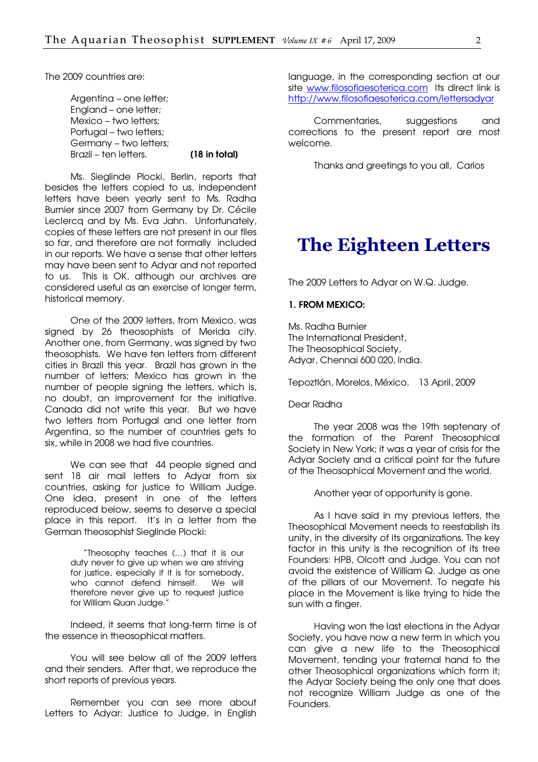<span id="page-1-0"></span>The 2009 countries are:

Argenting – one letter; England – one letter; Mexico – two letters; Portugal – two letters; Germany – two letters; Brazil – ten letters. **[18 in total]** 

Ms. Sieglinde Plocki, Berlin, reports that besides the letters copied to us, independent letters have been yearly sent to Ms. Radha Burnier since 2007 from Germany by Dr. Cécile Leclercq and by Ms. Eva Jahn. Unfortunately, copies of these letters are not present in our files so far, and therefore are not formally included in our reports. We have a sense that other letters may have been sent to Adyar and not reported to us. This is OK, although our archives are considered useful as an exercise of longer term, historical memory.

One of the 2009 letters, from Mexico, was signed by 26 theosophists of Merida city. Another one, from Germany, was signed by two theosophists. We have ten letters from different cities in Brazil this year. Brazil has grown in the number of letters; Mexico has grown in the number of people signing the letters, which is, no doubt, an improvement for the initiative. Canada did not write this year. But we have two letters from Portugal and one letter from Argentina, so the number of countries gets to six, while in 2008 we had five countries.

We can see that 44 people signed and sent 18 air mail letters to Adyar from six countries, asking for justice to William Judge. One idea, present in one of the letters reproduced below, seems to deserve a special place in this report. It's in a letter from the German theosophist Sieglinde Plocki:

> "Theosophy teaches (…) that it is our duty never to give up when we are striving for justice, especially if it is for somebody, who cannot defend himself. We will therefore never give up to request justice for William Quan Judge."

Indeed, it seems that long-term time is of the essence in theosophical matters.

You will see below all of the 2009 letters and their senders. After that, we reproduce the short reports of previous years.

Remember you can see more about Letters to Adyar: Justice to Judge, in English language, in the corresponding section at our site www.filosofiaesoterica.com Its direct link is <http://www.filosofiaesoterica.com/lettersadyar>

Commentaries, suggestions and corrections to the present report are most welcome.

Thanks and greetings to you all, Carlos

### The Eighteen Letters

The 2009 Letters to Adyar on W.Q. Judge.

#### 1. FROM MEXICO:

Ms. Radha Burnier The International President, The Theosophical Society, Adyar, Chennai 600 020, India.

Tepoztlán, Morelos, México. 13 April, 2009

Dear Radha

The year 2008 was the 19th septenary of the formation of the Parent Theosophical Society in New York; it was a year of crisis for the Adyar Society and a critical point for the future of the Theosophical Movement and the world.

Another year of opportunity is gone.

As I have said in my previous letters, the Theosophical Movement needs to reestablish its unity, in the diversity of its organizations. The key factor in this unity is the recognition of its tree Founders: HPB, Olcott and Judge. You can not avoid the existence of William Q. Judge as one of the pillars of our Movement. To negate his place in the Movement is like trying to hide the sun with a finger.

Having won the last elections in the Adyar Society, you have now a new term in which you can give a new life to the Theosophical Movement, tending your fraternal hand to the other Theosophical organizations which form it; the Adyar Society being the only one that does not recognize William Judge as one of the Founders.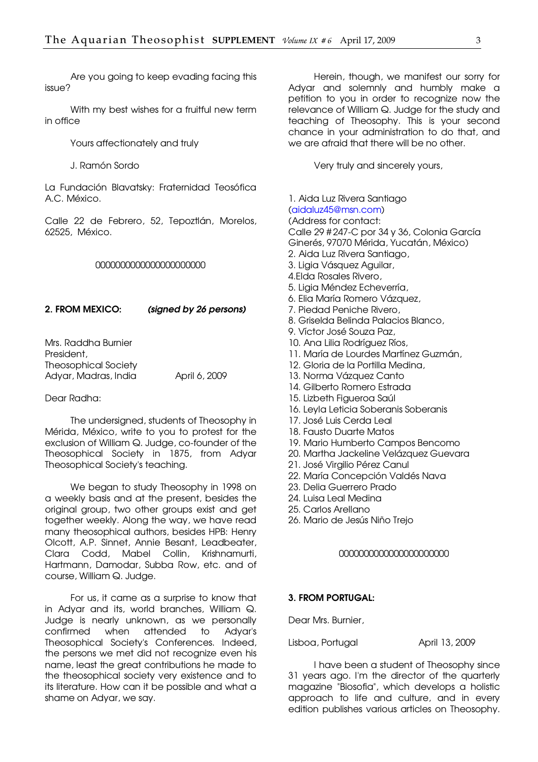Are you going to keep evading facing this issue?

With my best wishes for a fruitful new term in office

Yours affectionately and truly

J. Ramón Sordo

La Fundación Blavatsky: Fraternidad Teosófica A.C. México.

Calle 22 de Febrero, 52, Tepoztlán, Morelos, 62525, México.

#### 0000000000000000000000

#### 2. FROM MEXICO: (signed by 26 persons)

Mrs. Raddha Burnier President, Theosophical Society Adyar, Madras, India April 6, 2009

#### Dear Radha:

The undersigned, students of Theosophy in Mérida, México, write to you to protest for the exclusion of William Q. Judge, co-founder of the Theosophical Society in 1875, from Adyar Theosophical Society's teaching.

We began to study Theosophy in 1998 on a weekly basis and at the present, besides the original group, two other groups exist and get together weekly. Along the way, we have read many theosophical authors, besides HPB: Henry Olcott, A.P. Sinnet, Annie Besant, Leadbeater, Clara Codd, Mabel Collin, Krishnamurti, Hartmann, Damodar, Subba Row, etc. and of course, William Q. Judge.

For us, it came as a surprise to know that in Adyar and its, world branches, William Q. Judge is nearly unknown, as we personally confirmed when attended to Adyar's Theosophical Society's Conferences. Indeed, the persons we met did not recognize even his name, least the great contributions he made to the theosophical society very existence and to its literature. How can it be possible and what a shame on Adyar, we say.

Herein, though, we manifest our sorry for Adyar and solemnly and humbly make a petition to you in order to recognize now the relevance of William Q. Judge for the study and teaching of Theosophy. This is your second chance in your administration to do that, and we are afraid that there will be no other.

Very truly and sincerely yours,

1. Aida Luz Rivera Santiago [\(aidaluz45@msn.com\)](mailto:aidaluz45@msn.com) (Address for contact: Calle 29 # 247-C por 34 y 36, Colonia García Ginerés, 97070 Mérida, Yucatán, México) 2. Aida Luz Rivera Santiago, 3. Ligia Vásquez Aguilar, 4.Elda Rosales Rivero, 5. Ligia Méndez Echeverría, 6. Elia María Romero Vázquez, 7. Piedad Peniche Rivero, 8. Griselda Belinda Palacios Blanco, 9. Víctor José Souza Paz, 10. Ana Lilia Rodríguez Ríos, 11. María de Lourdes Martínez Guzmán, 12. Gloria de la Portilla Medina, 13. Norma Vázquez Canto 14. Gilberto Romero Estrada 15. Lizbeth Figueroa Saúl 16. Leyla Leticia Soberanis Soberanis 17. José Luis Cerda Leal 18. Fausto Duarte Matos 19. Mario Humberto Campos Bencomo 20. Martha Jackeline Velázquez Guevara 21. José Virgilio Pérez Canul 22. María Concepción Valdés Nava 23. Delia Guerrero Prado 24. Luisa Leal Medina 25. Carlos Arellano

26. Mario de Jesús Niño Trejo

#### 0000000000000000000000

#### 3. FROM PORTUGAL:

Dear Mrs. Burnier,

Lisboa, Portugal **April 13, 2009** 

I have been a student of Theosophy since 31 years ago. I'm the director of the quarterly magazine "Biosofia", which develops a holistic approach to life and culture, and in every edition publishes various articles on Theosophy.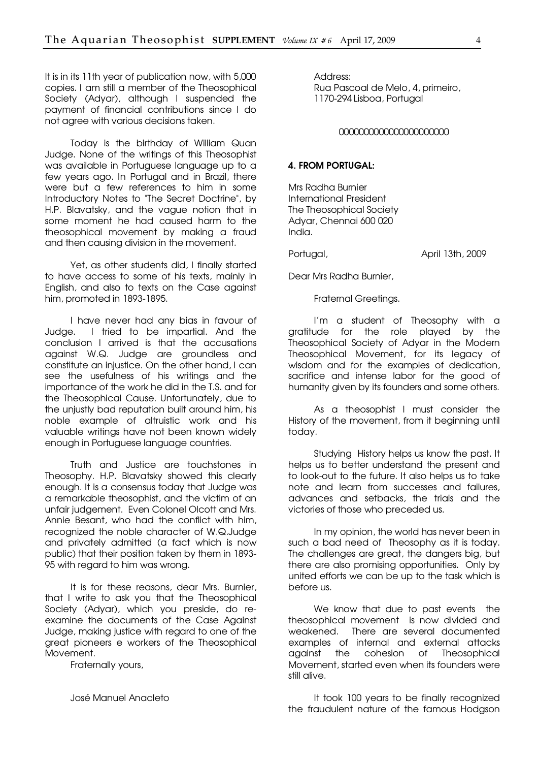It is in its 11th year of publication now, with 5,000 copies. I am still a member of the Theosophical Society (Advar), although I suspended the payment of financial contributions since I do not agree with various decisions taken.

Today is the birthday of William Quan Judge. None of the writings of this Theosophist was available in Portuguese language up to a few years ago. In Portugal and in Brazil, there were but a few references to him in some Introductory Notes to "The Secret Doctrine", by H.P. Blavatsky, and the vague notion that in some moment he had caused harm to the theosophical movement by making a fraud and then causing division in the movement.

Yet, as other students did, I finally started to have access to some of his texts, mainly in English, and also to texts on the Case against him, promoted in 1893-1895.

I have never had any bias in favour of Judge. I tried to be impartial. And the conclusion I arrived is that the accusations against W.Q. Judge are groundless and constitute an injustice. On the other hand, I can see the usefulness of his writings and the importance of the work he did in the T.S. and for the Theosophical Cause. Unfortunately, due to the unjustly bad reputation built around him, his noble example of altruistic work and his valuable writings have not been known widely enough in Portuguese language countries.

Truth and Justice are touchstones in Theosophy. H.P. Blavatsky showed this clearly enough. It is a consensus today that Judge was a remarkable theosophist, and the victim of an unfair judgement. Even Colonel Olcott and Mrs. Annie Besant, who had the conflict with him, recognized the noble character of W.Q.Judge and privately admitted (a fact which is now public) that their position taken by them in 1893- 95 with regard to him was wrong.

It is for these reasons, dear Mrs. Burnier, that I write to ask you that the Theosophical Society (Adyar), which you preside, do reexamine the documents of the Case Against Judge, making justice with regard to one of the great pioneers e workers of the Theosophical Movement.

Fraternally yours,

José Manuel Anacleto

Address: Rua Pascoal de Melo, 4, primeiro, 1170-294 Lisboa, Portugal

#### 0000000000000000000000

#### 4. FROM PORTUGAL:

Mrs Radha Burnier International President The Theosophical Society Adyar, Chennai 600 020 India.

Portugal, April 13th, 2009

Dear Mrs Radha Burnier,

Fraternal Greetings.

I'm a student of Theosophy with a gratitude for the role played by the Theosophical Society of Adyar in the Modern Theosophical Movement, for its legacy of wisdom and for the examples of dedication, sacrifice and intense labor for the good of humanity given by its founders and some others.

As a theosophist I must consider the History of the movement, from it beginning until today.

Studying History helps us know the past. It helps us to better understand the present and to look-out to the future. It also helps us to take note and learn from successes and failures, advances and setbacks, the trials and the victories of those who preceded us.

In my opinion, the world has never been in such a bad need of Theosophy as it is today. The challenges are great, the dangers big, but there are also promising opportunities. Only by united efforts we can be up to the task which is before us.

We know that due to past events the theosophical movement is now divided and weakened. There are several documented examples of internal and external attacks against the cohesion of Theosophical Movement, started even when its founders were still alive.

It took 100 years to be finally recognized the fraudulent nature of the famous Hodgson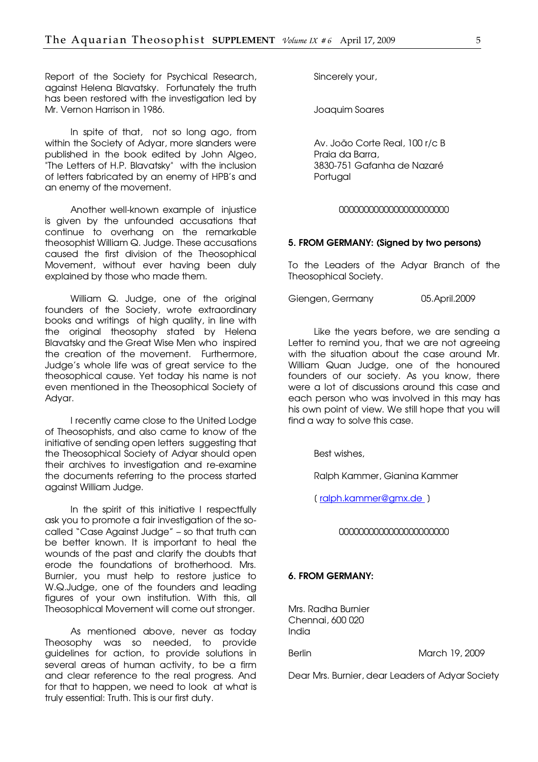Report of the Society for Psychical Research, against Helena Blavatsky. Fortunately the truth has been restored with the investigation led by Mr. Vernon Harrison in 1986.

In spite of that, not so long ago, from within the Society of Adyar, more slanders were published in the book edited by John Algeo, "The Letters of H.P. Blavatsky" with the inclusion of letters fabricated by an enemy of HPB's and an enemy of the movement.

Another well-known example of injustice is given by the unfounded accusations that continue to overhang on the remarkable theosophist William Q. Judge. These accusations caused the first division of the Theosophical Movement, without ever having been duly explained by those who made them.

William Q. Judge, one of the original founders of the Society, wrote extraordinary books and writings of high quality, in line with the original theosophy stated by Helena Blavatsky and the Great Wise Men who inspired the creation of the movement. Furthermore, Judge's whole life was of great service to the theosophical cause. Yet today his name is not even mentioned in the Theosophical Society of Adyar.

I recently came close to the United Lodge of Theosophists, and also came to know of the initiative of sending open letters suggesting that the Theosophical Society of Adyar should open their archives to investigation and re-examine the documents referring to the process started against William Judge.

In the spirit of this initiative I respectfully ask you to promote a fair investigation of the socalled "Case Against Judge" – so that truth can be better known. It is important to heal the wounds of the past and clarify the doubts that erode the foundations of brotherhood. Mrs. Burnier, you must help to restore justice to W.Q.Judge, one of the founders and leading figures of your own institution. With this, all Theosophical Movement will come out stronger.

As mentioned above, never as today Theosophy was so needed, to provide guidelines for action, to provide solutions in several areas of human activity, to be a firm and clear reference to the real progress. And for that to happen, we need to look at what is truly essential: Truth. This is our first duty.

Sincerely your,

Joaquim Soares

Av. João Corte Real, 100 r/c B Praia da Barra, 3830-751 Gafanha de Nazaré Portugal

#### 0000000000000000000000

#### 5. FROM GERMANY: (Signed by two persons)

To the Leaders of the Adyar Branch of the Theosophical Society.

Giengen, Germany 05.April.2009

Like the years before, we are sending a Letter to remind you, that we are not agreeing with the situation about the case around Mr. William Quan Judge, one of the honoured founders of our society. As you know, there were a lot of discussions around this case and each person who was involved in this may has his own point of view. We still hope that you will find a way to solve this case.

Best wishes,

Ralph Kammer, Gianina Kammer

(ralph.kammer@gmx.de)

#### 0000000000000000000000

#### 6. FROM GERMANY:

Mrs. Radha Burnier Chennai, 600 020 India

Berlin March 19, 2009

Dear Mrs. Burnier, dear Leaders of Adyar Society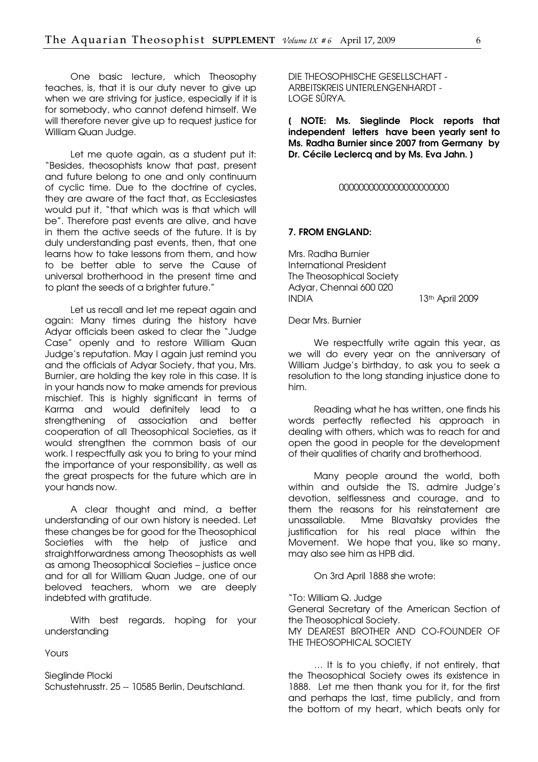One basic lecture, which Theosophy teaches, is, that it is our duty never to give up when we are striving for justice, especially if it is for somebody, who cannot defend himself. We will therefore never give up to request justice for William Quan Judge.

Let me quote again, as a student put it: "Besides, theosophists know that past, present and future belong to one and only continuum of cyclic time. Due to the doctrine of cycles, they are aware of the fact that, as Ecclesiastes would put it, "that which was is that which will be". Therefore past events are alive, and have in them the active seeds of the future. It is by duly understanding past events, then, that one learns how to take lessons from them, and how to be better able to serve the Cause of universal brotherhood in the present time and to plant the seeds of a brighter future."

Let us recall and let me repeat again and again: Many times during the history have Adyar officials been asked to clear the "Judge Case" openly and to restore William Quan Judge's reputation. May I again just remind you and the officials of Adyar Society, that you, Mrs. Burnier, are holding the key role in this case. It is in your hands now to make amends for previous mischief. This is highly significant in terms of Karma and would definitely lead to a strengthening of association and better cooperation of all Theosophical Societies, as it would strengthen the common basis of our work. I respectfully ask you to bring to your mind the importance of your responsibility, as well as the great prospects for the future which are in your hands now.

A clear thought and mind, a better understanding of our own history is needed. Let these changes be for good for the Theosophical Societies with the help of justice and straightforwardness among Theosophists as well as among Theosophical Societies – justice once and for all for William Quan Judge, one of our beloved teachers, whom we are deeply indebted with gratitude.

With best regards, hoping for your understanding

Yours

Sieglinde Plocki Schustehrusstr. 25 -- 10585 Berlin, Deutschland. DIE THEOSOPHISCHE GESELLSCHAFT - ARBEITSKREIS UNTERLENGENHARDT - LOGE SÛRYA.

[ NOTE: Ms. Sieglinde Plock reports that independent letters have been yearly sent to Ms. Radha Burnier since 2007 from Germany by Dr. Cécile Leclerca and by Ms. Eva Jahn. )

#### 0000000000000000000000

#### 7. FROM ENGLAND:

Mrs. Radha Burnier International President The Theosophical Society Adyar, Chennai 600 020 INDIA 13th April 2009

#### Dear Mrs. Burnier

We respectfully write again this year, as we will do every year on the anniversary of William Judge's birthday, to ask you to seek a resolution to the long standing injustice done to him.

Reading what he has written, one finds his words perfectly reflected his approach in dealing with others, which was to reach for and open the good in people for the development of their qualities of charity and brotherhood.

Many people around the world, both within and outside the TS, admire Judge's devotion, selflessness and courage, and to them the reasons for his reinstatement are unassailable. Mme Blavatsky provides the justification for his real place within the Movement. We hope that you, like so many, may also see him as HPB did.

On 3rd April 1888 she wrote:

"To: William Q. Judge

General Secretary of the American Section of the Theosophical Society.

MY DEAREST BROTHER AND CO-FOUNDER OF THE THEOSOPHICAL SOCIETY

… It is to you chiefly, if not entirely, that the Theosophical Society owes its existence in 1888. Let me then thank you for it, for the first and perhaps the last, time publicly, and from the bottom of my heart, which beats only for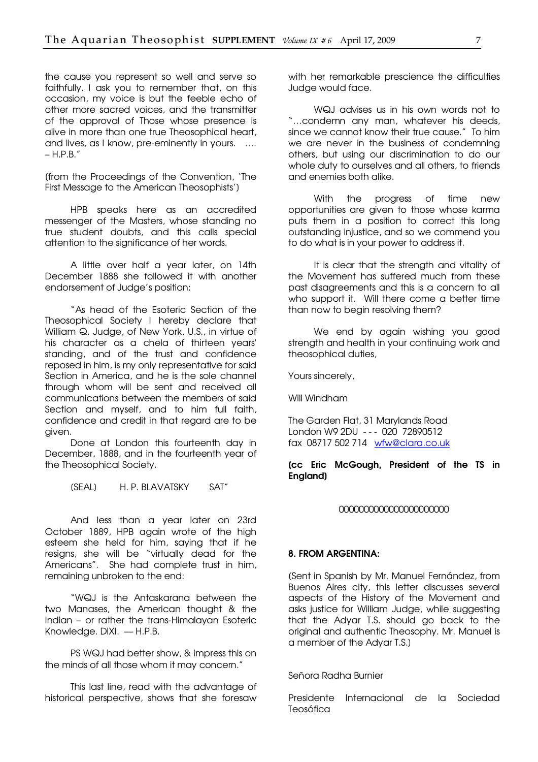the cause you represent so well and serve so faithfully. I ask you to remember that, on this occasion, my voice is but the feeble echo of other more sacred voices, and the transmitter of the approval of Those whose presence is alive in more than one true Theosophical heart, and lives, as I know, pre-eminently in yours. .... – H.P.B."

[from the Proceedings of the Convention, 'The First Message to the American Theosophists']

HPB speaks here as an accredited messenger of the Masters, whose standing no true student doubts, and this calls special attention to the significance of her words.

A little over half a year later, on 14th December 1888 she followed it with another endorsement of Judge's position:

"As head of the Esoteric Section of the Theosophical Society I hereby declare that William Q. Judge, of New York, U.S., in virtue of his character as a chela of thirteen years' standing, and of the trust and confidence reposed in him, is my only representative for said Section in America, and he is the sole channel through whom will be sent and received all communications between the members of said Section and myself, and to him full faith, confidence and credit in that regard are to be given.

Done at London this fourteenth day in December, 1888, and in the fourteenth year of the Theosophical Society.

[SEAL] H. P. BLAVATSKY SAT"

And less than a year later on 23rd October 1889, HPB again wrote of the high esteem she held for him, saying that if he resigns, she will be "virtually dead for the Americans". She had complete trust in him, remaining unbroken to the end:

"WQJ is the Antaskarana between the two Manases, the American thought & the Indian – or rather the trans-Himalayan Esoteric Knowledge, DIXI. – H.P.B.

PS WQJ had better show, & impress this on the minds of all those whom it may concern."

This last line, read with the advantage of historical perspective, shows that she foresaw with her remarkable prescience the difficulties Judge would face.

WQJ advises us in his own words not to "…condemn any man, whatever his deeds, since we cannot know their true cause." To him we are never in the business of condemning others, but using our discrimination to do our whole duty to ourselves and all others, to friends and enemies both alike.

With the progress of time new opportunities are given to those whose karma puts them in a position to correct this long outstanding injustice, and so we commend you to do what is in your power to address it.

It is clear that the strength and vitality of the Movement has suffered much from these past disagreements and this is a concern to all who support it. Will there come a better time than now to begin resolving them?

We end by again wishing you good strength and health in your continuing work and theosophical duties,

Yours sincerely,

Will Windham

The Garden Flat, 31 Marylands Road London W9 2DU - - - 020 72890512 fax 08717 502 714 [wfw@clara.co.uk](mailto:wfw@clara.co.uk) 

#### [cc Eric McGough, President of the TS in England]

#### 0000000000000000000000

#### 8. FROM ARGENTINA:

[Sent in Spanish by Mr. Manuel Fernández, from Buenos Aires city, this letter discusses several aspects of the History of the Movement and asks justice for William Judge, while suggesting that the Adyar T.S. should go back to the original and authentic Theosophy. Mr. Manuel is a member of the Adyar T.S.]

Señora Radha Burnier

Presidente Internacional de la Sociedad Teosófica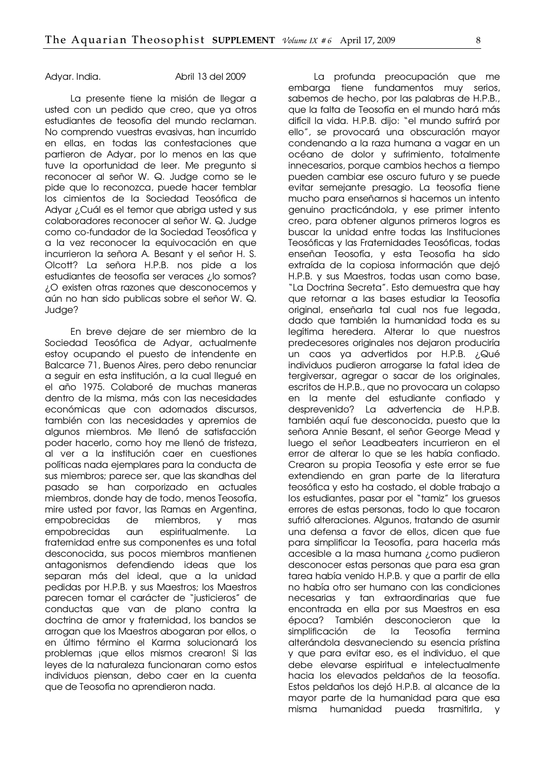Adyar. India. Abril 13 del 2009

La presente tiene la misión de llegar a usted con un pedido que creo, que ya otros estudiantes de teosofía del mundo reclaman. No comprendo vuestras evasivas, han incurrido en ellas, en todas las contestaciones que partieron de Adyar, por lo menos en las que tuve la oportunidad de leer. Me pregunto si reconocer al señor W. Q. Judge como se le pide que lo reconozca, puede hacer temblar los cimientos de la Sociedad Teosófica de Adyar ¿Cuál es el temor que abriga usted y sus colaboradores reconocer al señor W. Q. Judge como co-fundador de la Sociedad Teosófica y a la vez reconocer la equivocación en que incurrieron la señora A. Besant y el señor H. S. Olcott? La señora H.P.B. nos pide a los estudiantes de teosofía ser veraces ¿lo somos? ¿O existen otras razones que desconocemos y aún no han sido publicas sobre el señor W. Q. Judge?

En breve dejare de ser miembro de la Sociedad Teosófica de Adyar, actualmente estoy ocupando el puesto de intendente en Balcarce 71, Buenos Aires, pero debo renunciar a seguir en esta institución, a la cual llegué en el año 1975. Colaboré de muchas maneras dentro de la misma, más con las necesidades económicas que con adornados discursos, también con las necesidades y apremios de algunos miembros. Me llenó de satisfacción poder hacerlo, como hoy me llenó de tristeza, al ver a la institución caer en cuestiones políticas nada ejemplares para la conducta de sus miembros; parece ser, que las skandhas del pasado se han corporizado en actuales miembros, donde hay de todo, menos Teosofía, mire usted por favor, las Ramas en Argentina, empobrecidas de miembros, y mas empobrecidas aun espiritualmente. La fraternidad entre sus componentes es una total desconocida, sus pocos miembros mantienen antagonismos defendiendo ideas que los separan más del ideal, que a la unidad pedidas por H.P.B. y sus Maestros; los Maestros parecen tomar el carácter de "justicieros" de conductas que van de plano contra la doctrina de amor y fraternidad, los bandos se arrogan que los Maestros abogaran por ellos, o en último término el Karma solucionará los problemas ¡que ellos mismos crearon! Si las leyes de la naturaleza funcionaran como estos individuos piensan, debo caer en la cuenta que de Teosofía no aprendieron nada.

La profunda preocupación que me embarga tiene fundamentos muy serios, sabemos de hecho, por las palabras de H.P.B., que la falta de Teosofía en el mundo hará más difícil la vida. H.P.B. dijo: "el mundo sufrirá por ello", se provocará una obscuración mayor condenando a la raza humana a vagar en un océano de dolor y sufrimiento, totalmente innecesarios, porque cambios hechos a tiempo pueden cambiar ese oscuro futuro y se puede evitar semejante presagio. La teosofía tiene mucho para enseñarnos si hacemos un intento genuino practicándola, y ese primer intento creo, para obtener algunos primeros logros es buscar la unidad entre todas las Instituciones Teosóficas y las Fraternidades Teosóficas, todas enseñan Teosofía, y esta Teosofía ha sido extraída de la copiosa información que dejó H.P.B. y sus Maestros, todas usan como base, "La Doctrina Secreta". Esto demuestra que hay que retornar a las bases estudiar la Teosofía original, enseñarla tal cual nos fue legada, dado que también la humanidad toda es su legítima heredera. Alterar lo que nuestros predecesores originales nos dejaron produciría un caos ya advertidos por H.P.B. ¿Qué individuos pudieron arrogarse la fatal idea de tergiversar, agregar o sacar de los originales, escritos de H.P.B., que no provocara un colapso en la mente del estudiante confiado y desprevenido? La advertencia de H.P.B. también aquí fue desconocida, puesto que la señora Annie Besant, el señor George Mead y luego el señor Leadbeaters incurrieron en el error de alterar lo que se les había confiado. Crearon su propia Teosofía y este error se fue extendiendo en gran parte de la literatura teosófica y esto ha costado, el doble trabajo a los estudiantes, pasar por el "tamiz" los gruesos errores de estas personas, todo lo que tocaron sufrió alteraciones. Algunos, tratando de asumir una defensa a favor de ellos, dicen que fue para simplificar la Teosofía, para hacerla más accesible a la masa humana ¿como pudieron desconocer estas personas que para esa gran tarea había venido H.P.B. y que a partir de ella no había otro ser humano con las condiciones necesarias y tan extraordinarias que fue encontrada en ella por sus Maestros en esa época? También desconocieron que la simplificación de la Teosofía termina alterándola desvaneciendo su esencia prístina y que para evitar eso, es el individuo, el que debe elevarse espiritual e intelectualmente hacia los elevados peldaños de la teosofía. Estos peldaños los dejó H.P.B. al alcance de la mayor parte de la humanidad para que esa misma humanidad pueda trasmitirla, y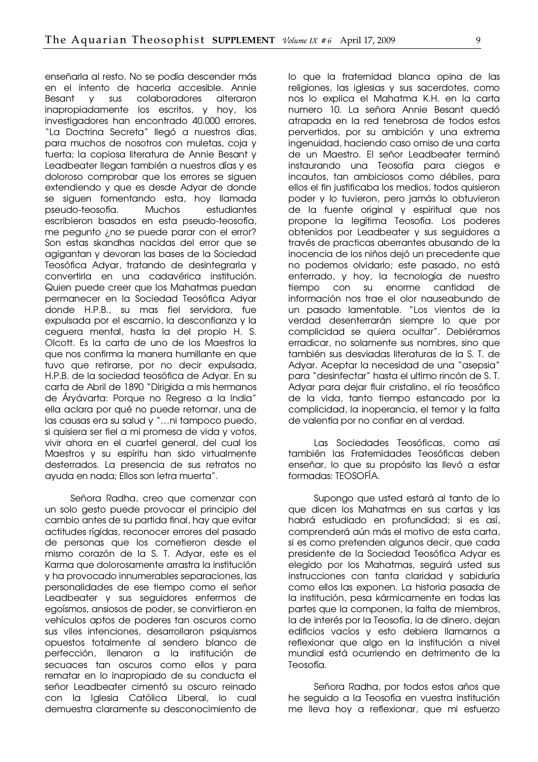enseñarla al resto. No se podía descender más en el intento de hacerla accesible. Annie Besant y sus colaboradores alteraron inapropiadamente los escritos, y hoy, los investigadores han encontrado 40.000 errores, "La Doctrina Secreta" llegó a nuestros días, para muchos de nosotros con muletas, coja y tuerta; la copiosa literatura de Annie Besant y Leadbeater llegan también a nuestros días y es doloroso comprobar que los errores se siguen extendiendo y que es desde Adyar de donde se siguen fomentando esta, hoy llamada pseudo-teosofía. Muchos estudiantes escribieron basados en esta pseudo-teosofía, me pegunto ¿no se puede parar con el error? Son estas skandhas nacidas del error que se agigantan y devoran las bases de la Sociedad Teosófica Adyar, tratando de desintegrarla y convertirla en una cadavérica institución. Quien puede creer que los Mahatmas puedan permanecer en la Sociedad Teosófica Adyar donde H.P.B., su mas fiel servidora, fue expulsada por el escarnio, la desconfianza y la ceguera mental, hasta la del propio H. S. Olcott. Es la carta de uno de los Maestros la que nos confirma la manera humillante en que tuvo que retirarse, por no decir expulsada, H.P.B. de la sociedad teosófica de Adyar. En su carta de Abril de 1890 "Dirigida a mis hermanos de Áryávarta: Porque no Regreso a la India" ella aclara por qué no puede retornar, una de las causas era su salud y "…ni tampoco puedo, si quisiera ser fiel a mi promesa de vida y votos, vivir ahora en el cuartel general, del cual los Maestros y su espíritu han sido virtualmente desterrados. La presencia de sus retratos no ayuda en nada; Ellos son letra muerta".

Señora Radha, creo que comenzar con un solo gesto puede provocar el principio del cambio antes de su partida final, hay que evitar actitudes rígidas, reconocer errores del pasado de personas que los cometieron desde el mismo corazón de la S. T. Adyar, este es el Karma que dolorosamente arrastra la institución y ha provocado innumerables separaciones, las personalidades de ese tiempo como el señor Leadbeater y sus seguidores enfermos de egoísmos, ansiosos de poder, se convirtieron en vehículos aptos de poderes tan oscuros como sus viles intenciones, desarrollaron psiquismos opuestos totalmente al sendero blanco de perfección, llenaron a la institución de secuaces tan oscuros como ellos y para rematar en lo inapropiado de su conducta el señor Leadbeater cimentó su oscuro reinado con la Iglesia Católica Liberal, lo cual demuestra claramente su desconocimiento de

lo que la fraternidad blanca opina de las religiones, las iglesias y sus sacerdotes, como nos lo explica el Mahatma K.H. en la carta numero 10. La señora Annie Besant quedó atrapada en la red tenebrosa de todos estos pervertidos, por su ambición y una extrema ingenuidad, haciendo caso omiso de una carta de un Maestro. El señor Leadbeater terminó instaurando una Teosofía para ciegos e incautos, tan ambiciosos como débiles, para ellos el fin justificaba los medios, todos quisieron poder y lo tuvieron, pero jamás lo obtuvieron de la fuente original y espiritual que nos propone la legítima Teosofía. Los poderes obtenidos por Leadbeater y sus seguidores a través de practicas aberrantes abusando de la inocencia de los niños dejó un precedente que no podemos olvidarlo; este pasado, no está enterrado, y hoy, la tecnología de nuestro tiempo con su enorme cantidad de información nos trae el olor nauseabundo de un pasado lamentable. "Los vientos de la verdad desenterrarán siempre lo que por complicidad se quiera ocultar". Debiéramos erradicar, no solamente sus nombres, sino que también sus desviadas literaturas de la S. T. de Adyar. Aceptar la necesidad de una "asepsia" para "desinfectar" hasta el ultimo rincón de S. T. Adyar para dejar fluir cristalino, el río teosófico de la vida, tanto tiempo estancado por la complicidad, la inoperancia, el temor y la falta de valentía por no confiar en al verdad.

Las Sociedades Teosóficas, como así también las Fraternidades Teosóficas deben enseñar, lo que su propósito las llevó a estar formadas: TEOSOFÍA.

Supongo que usted estará al tanto de lo que dicen los Mahatmas en sus cartas y las habrá estudiado en profundidad; si es así, comprenderá aún más el motivo de esta carta, si es como pretenden algunos decir, que cada presidente de la Sociedad Teosófica Adyar es elegido por los Mahatmas, seguirá usted sus instrucciones con tanta claridad y sabiduría como ellos las exponen. La historia pasada de la institución, pesa kármicamente en todas las partes que la componen, la falta de miembros, la de interés por la Teosofía, la de dinero, dejan edificios vacíos y esto debiera llamarnos a reflexionar que algo en la institución a nivel mundial está ocurriendo en detrimento de la Teosofía.

Señora Radha, por todos estos años que he seguido a la Teosofía en vuestra institución me lleva hoy a reflexionar, que mi esfuerzo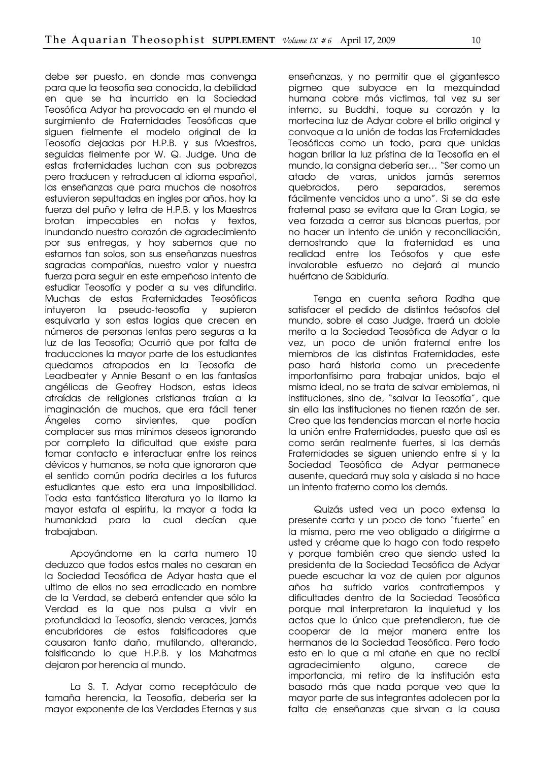debe ser puesto, en donde mas convenga para que la teosofía sea conocida, la debilidad en que se ha incurrido en la Sociedad Teosófica Adyar ha provocado en el mundo el surgimiento de Fraternidades Teosóficas que siguen fielmente el modelo original de la Teosofía dejadas por H.P.B. y sus Maestros, seguidas fielmente por W. Q. Judge. Una de estas fraternidades luchan con sus pobrezas pero traducen y retraducen al idioma español, las enseñanzas que para muchos de nosotros estuvieron sepultadas en ingles por años, hoy la fuerza del puño y letra de H.P.B. y los Maestros brotan impecables en notas y textos, inundando nuestro corazón de agradecimiento por sus entregas, y hoy sabemos que no estamos tan solos, son sus enseñanzas nuestras sagradas compañías, nuestro valor y nuestra fuerza para seguir en este empeñoso intento de estudiar Teosofía y poder a su ves difundirla. Muchas de estas Fraternidades Teosóficas intuyeron la pseudo-teosofía y supieron esquivarla y son estas logias que crecen en números de personas lentas pero seguras a la luz de las Teosofía; Ocurrió que por falta de traducciones la mayor parte de los estudiantes quedamos atrapados en la Teosofía de Leadbeater y Annie Besant o en las fantasías angélicas de Geofrey Hodson, estas ideas atraídas de religiones cristianas traían a la imaginación de muchos, que era fácil tener Ángeles como sirvientes, que podían complacer sus mas mínimos deseos ignorando por completo la dificultad que existe para tomar contacto e interactuar entre los reinos dévicos y humanos, se nota que ignoraron que el sentido común podría decirles a los futuros estudiantes que esto era una imposibilidad. Toda esta fantástica literatura yo la llamo la mayor estafa al espíritu, la mayor a toda la humanidad para la cual decían que trabaiaban.

Apoyándome en la carta numero 10 deduzco que todos estos males no cesaran en la Sociedad Teosófica de Adyar hasta que el ultimo de ellos no sea erradicado en nombre de la Verdad, se deberá entender que sólo la Verdad es la que nos pulsa a vivir en profundidad la Teosofía, siendo veraces, jamás encubridores de estos falsificadores que causaron tanto daño, mutilando, alterando, falsificando lo que H.P.B. y los Mahatmas dejaron por herencia al mundo.

La S. T. Adyar como receptáculo de tamaña herencia, la Teosofía, debería ser la mayor exponente de las Verdades Eternas y sus

enseñanzas, y no permitir que el gigantesco pigmeo que subyace en la mezquindad humana cobre más victimas, tal vez su ser interno, su Buddhi, toque su corazón y la mortecina luz de Adyar cobre el brillo original y convoque a la unión de todas las Fraternidades Teosóficas como un todo, para que unidas hagan brillar la luz prístina de la Teosofía en el mundo, la consigna debería ser… "Ser como un atado de varas, unidos jamás seremos quebrados, pero separados, seremos fácilmente vencidos uno a uno". Si se da este fraternal paso se evitara que la Gran Logia, se vea forzada a cerrar sus blancas puertas, por no hacer un intento de unión y reconciliación, demostrando que la fraternidad es una realidad entre los Teósofos y que este invalorable esfuerzo no dejará al mundo huérfano de Sabiduría.

Tenga en cuenta señora Radha que satisfacer el pedido de distintos teósofos del mundo, sobre el caso Judge, traerá un doble merito a la Sociedad Teosófica de Adyar a la vez, un poco de unión fraternal entre los miembros de las distintas Fraternidades, este paso hará historia como un precedente importantísimo para trabajar unidos, bajo el mismo ideal, no se trata de salvar emblemas, ni instituciones, sino de, "salvar la Teosofía", que sin ella las instituciones no tienen razón de ser. Creo que las tendencias marcan el norte hacia la unión entre Fraternidades, puesto que así es como serán realmente fuertes, si las demás Fraternidades se siguen uniendo entre si y la Sociedad Teosófica de Adyar permanece ausente, quedará muy sola y aislada si no hace un intento fraterno como los demás.

Quizás usted vea un poco extensa la presente carta y un poco de tono "fuerte" en la misma, pero me veo obligado a dirigirme a usted y créame que lo hago con todo respeto y porque también creo que siendo usted la presidenta de la Sociedad Teosófica de Adyar puede escuchar la voz de quien por algunos años ha sufrido varios contratiempos y dificultades dentro de la Sociedad Teosófica porque mal interpretaron la inquietud y los actos que lo único que pretendieron, fue de cooperar de la mejor manera entre los hermanos de la Sociedad Teosófica. Pero todo esto en lo que a mi atañe en que no recibí agradecimiento alguno, carece de importancia, mi retiro de la institución esta basado más que nada porque veo que la mayor parte de sus integrantes adolecen por la falta de enseñanzas que sirvan a la causa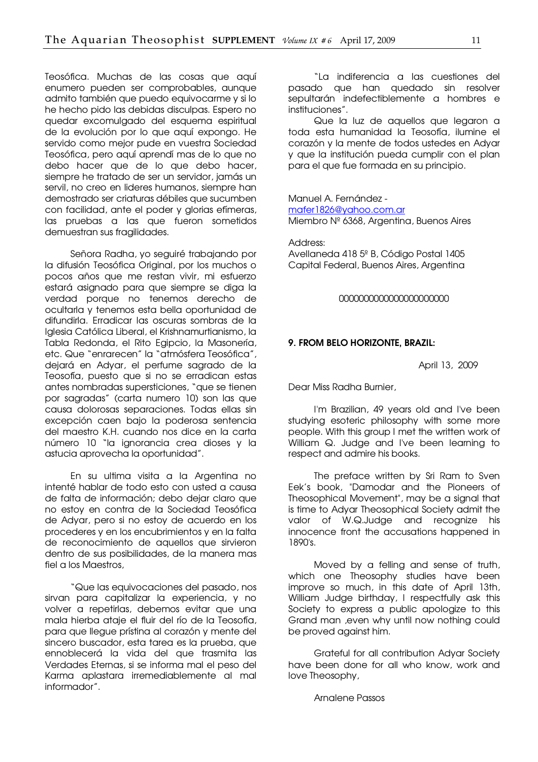Teosófica. Muchas de las cosas que aquí enumero pueden ser comprobables, aunque admito también que puedo equivocarme y si lo he hecho pido las debidas disculpas. Espero no quedar excomulgado del esquema espiritual de la evolución por lo que aquí expongo. He servido como mejor pude en vuestra Sociedad Teosófica, pero aquí aprendí mas de lo que no debo hacer que de lo que debo hacer, siempre he tratado de ser un servidor, jamás un servil, no creo en lideres humanos, siempre han demostrado ser criaturas débiles que sucumben con facilidad, ante el poder y glorias efímeras, las pruebas a las que fueron sometidos demuestran sus fragilidades.

Señora Radha, yo seguiré trabajando por la difusión Teosófica Original, por los muchos o pocos años que me restan vivir, mi esfuerzo estará asignado para que siempre se diga la verdad porque no tenemos derecho de ocultarla y tenemos esta bella oportunidad de difundirla. Erradicar las oscuras sombras de la Iglesia Católica Liberal, el Krishnamurtianismo, la Tabla Redonda, el Rito Egipcio, la Masonería, etc. Que "enrarecen" la "atmósfera Teosófica", dejará en Adyar, el perfume sagrado de la Teosofía, puesto que si no se erradican estas antes nombradas supersticiones, "que se tienen por sagradas" (carta numero 10) son las que causa dolorosas separaciones. Todas ellas sin excepción caen bajo la poderosa sentencia del maestro K.H. cuando nos dice en la carta número 10 "la ignorancia crea dioses y la astucia aprovecha la oportunidad".

En su ultima visita a la Argentina no intenté hablar de todo esto con usted a causa de falta de información; debo dejar claro que no estoy en contra de la Sociedad Teosófica de Adyar, pero si no estoy de acuerdo en los procederes y en los encubrimientos y en la falta de reconocimiento de aquellos que sirvieron dentro de sus posibilidades, de la manera mas fiel a los Maestros,

"Que las equivocaciones del pasado, nos sirvan para capitalizar la experiencia, y no volver a repetirlas, debemos evitar que una mala hierba ataje el fluir del río de la Teosofía, para que llegue prístina al corazón y mente del sincero buscador, esta tarea es la prueba, que ennoblecerá la vida del que trasmita las Verdades Eternas, si se informa mal el peso del Karma aplastara irremediablemente al mal informador".

"La indiferencia a las cuestiones del pasado que han quedado sin resolver sepultarán indefectiblemente a hombres e instituciones".

Que la luz de aquellos que legaron a toda esta humanidad la Teosofía, ilumine el corazón y la mente de todos ustedes en Adyar y que la institución pueda cumplir con el plan para el que fue formada en su principio.

Manuel A. Fernández [mafer1826@yahoo.com.ar](mailto:mafer1826@yahoo.com.ar)  Miembro Nº 6368, Argentina, Buenos Aires

Address: Avellaneda 418 5º B, Código Postal 1405 Capital Federal, Buenos Aires, Argentina

#### 0000000000000000000000

#### 9. FROM BELO HORIZONTE, BRAZIL:

April 13, 2009

Dear Miss Radha Burnier,

I'm Brazilian, 49 years old and I've been studying esoteric philosophy with some more people. With this group I met the written work of William Q. Judge and I've been learning to respect and admire his books.

The preface written by Sri Ram to Sven Eek's book, "Damodar and the Pioneers of Theosophical Movement", may be a signal that is time to Adyar Theosophical Society admit the valor of W.Q.Judge and recognize his innocence front the accusations happened in 1890's.

Moved by a felling and sense of truth, which one Theosophy studies have been improve so much, in this date of April 13th, William Judge birthday, I respectfully ask this Society to express a public apologize to this Grand man ,even why until now nothing could be proved against him.

Grateful for all contribution Adyar Society have been done for all who know, work and love Theosophy,

Arnalene Passos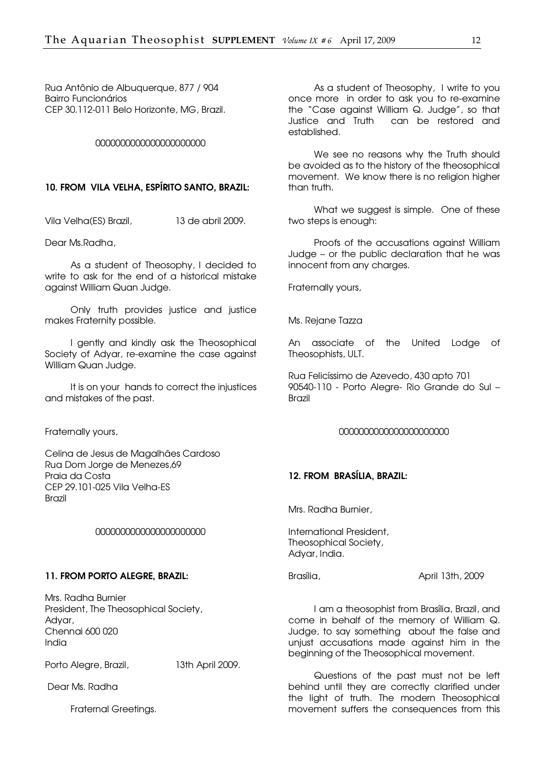Rua Antônio de Albuquerque, 877 / 904 Bairro Funcionários CEP 30.112-011 Belo Horizonte, MG, Brazil.

#### 0000000000000000000000

#### 10. FROM VILA VELHA, ESPÍRITO SANTO, BRAZIL:

Vila Velha(ES) Brazil, 13 de abril 2009.

Dear Ms.Radha,

As a student of Theosophy, I decided to write to ask for the end of a historical mistake against William Quan Judge.

Only truth provides justice and justice makes Fraternity possible.

I gently and kindly ask the Theosophical Society of Adyar, re-examine the case against William Quan Judge.

It is on your hands to correct the injustices and mistakes of the past.

Fraternally yours,

Celina de Jesus de Magalhães Cardoso Rua Dom Jorge de Menezes,69 Praia da Costa CEP 29.101-025 Vila Velha-ES Brazil

#### 0000000000000000000000

#### 11. FROM PORTO ALEGRE, BRAZIL:

Mrs. Radha Burnier President, The Theosophical Society, Adyar, Chennai 600 020 India

Porto Alegre, Brazil, 13th April 2009.

Dear Ms. Radha

Fraternal Greetings.

As a student of Theosophy, I write to you once more in order to ask you to re-examine the "Case against William Q. Judge", so that Justice and Truth can be restored and established.

We see no reasons why the Truth should be avoided as to the history of the theosophical movement. We know there is no religion higher than truth.

What we suggest is simple. One of these two steps is enough:

Proofs of the accusations against William Judge – or the public declaration that he was innocent from any charges.

Fraternally yours,

Ms. Rejane Tazza

An associate of the United Lodge of Theosophists, ULT.

Rua Felicíssimo de Azevedo, 430 apto 701 90540-110 - Porto Alegre- Rio Grande do Sul – Brazil

#### 0000000000000000000000

#### 12. FROM BRASÍLIA, BRAZIL:

Mrs. Radha Burnier,

International President, Theosophical Society, Adyar, India.

Brasília, April 13th, 2009

I am a theosophist from Brasília, Brazil, and come in behalf of the memory of William Q. Judge, to say something about the false and unjust accusations made against him in the beginning of the Theosophical movement.

Questions of the past must not be left behind until they are correctly clarified under the light of truth. The modern Theosophical movement suffers the consequences from this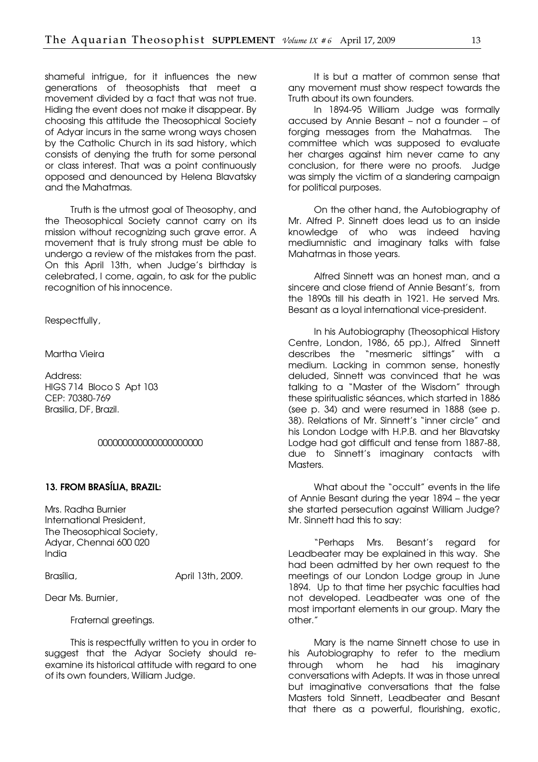shameful intrigue, for it influences the new generations of theosophists that meet a movement divided by a fact that was not true. Hiding the event does not make it disappear. By choosing this attitude the Theosophical Society of Adyar incurs in the same wrong ways chosen by the Catholic Church in its sad history, which consists of denying the truth for some personal or class interest. That was a point continuously opposed and denounced by Helena Blavatsky and the Mahatmas.

Truth is the utmost goal of Theosophy, and the Theosophical Society cannot carry on its mission without recognizing such grave error. A movement that is truly strong must be able to undergo a review of the mistakes from the past. On this April 13th, when Judge's birthday is celebrated, I come, again, to ask for the public recognition of his innocence.

Respectfully,

Martha Vieira

Address: HIGS 714 Bloco S Apt 103 CEP: 70380-769 Brasilia, DF, Brazil.

#### 000000000000000000000

#### 13. FROM BRASÍLIA, BRAZIL:

Mrs. Radha Burnier International President, The Theosophical Society, Adyar, Chennai 600 020 India

Brasília, **April 13th, 2009.** 

Dear Ms. Burnier,

Fraternal greetings.

This is respectfully written to you in order to suggest that the Adyar Society should reexamine its historical attitude with regard to one of its own founders, William Judge.

It is but a matter of common sense that any movement must show respect towards the Truth about its own founders.

In 1894-95 William Judge was formally accused by Annie Besant – not a founder – of forging messages from the Mahatmas. The committee which was supposed to evaluate her charges against him never came to any conclusion, for there were no proofs. Judge was simply the victim of a slandering campaign for political purposes.

On the other hand, the Autobiography of Mr. Alfred P. Sinnett does lead us to an inside knowledge of who was indeed having mediumnistic and imaginary talks with false Mahatmas in those years.

Alfred Sinnett was an honest man, and a sincere and close friend of Annie Besant's, from the 1890s till his death in 1921. He served Mrs. Besant as a loyal international vice-president.

In his Autobiography [Theosophical History Centre, London, 1986, 65 pp.], Alfred Sinnett describes the "mesmeric sittings" with a medium. Lacking in common sense, honestly deluded, Sinnett was convinced that he was talking to a "Master of the Wisdom" through these spiritualistic séances, which started in 1886 (see p. 34) and were resumed in 1888 (see p. 38). Relations of Mr. Sinnett's "inner circle" and his London Lodge with H.P.B. and her Blavatsky Lodge had got difficult and tense from 1887-88, due to Sinnett's imaginary contacts with Masters.

What about the "occult" events in the life of Annie Besant during the year 1894 – the year she started persecution against William Judge? Mr. Sinnett had this to say:

"Perhaps Mrs. Besant's regard for Leadbeater may be explained in this way. She had been admitted by her own request to the meetings of our London Lodge group in June 1894. Up to that time her psychic faculties had not developed. Leadbeater was one of the most important elements in our group. Mary the other."

Mary is the name Sinnett chose to use in his Autobiography to refer to the medium through whom he had his imaginary conversations with Adepts. It was in those unreal but imaginative conversations that the false Masters told Sinnett, Leadbeater and Besant that there as a powerful, flourishing, exotic,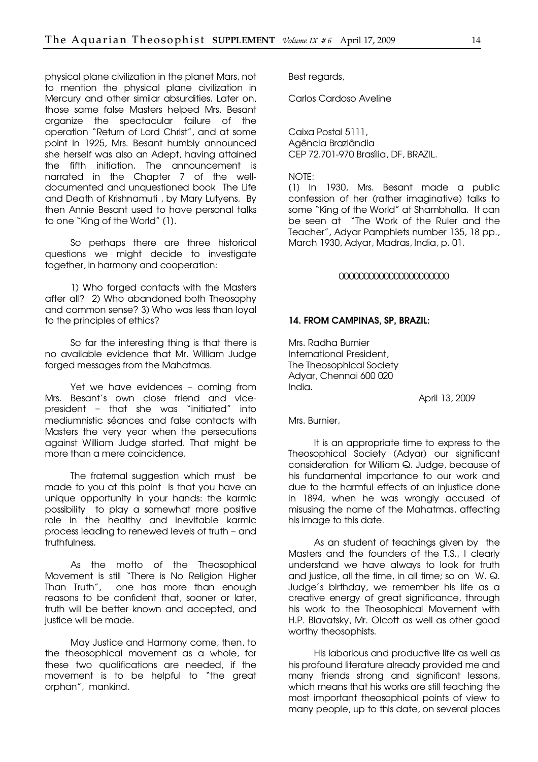physical plane civilization in the planet Mars, not to mention the physical plane civilization in Mercury and other similar absurdities. Later on, those same false Masters helped Mrs. Besant organize the spectacular failure of the operation "Return of Lord Christ", and at some point in 1925, Mrs. Besant humbly announced she herself was also an Adept, having attained the fifth initiation. The announcement is narrated in the Chapter 7 of the welldocumented and unquestioned book The Life and Death of Krishnamuti , by Mary Lutyens. By then Annie Besant used to have personal talks to one "King of the World" [1].

So perhaps there are three historical questions we might decide to investigate together, in harmony and cooperation:

1) Who forged contacts with the Masters after all? 2) Who abandoned both Theosophy and common sense? 3) Who was less than loyal to the principles of ethics?

So far the interesting thing is that there is no available evidence that Mr. William Judge forged messages from the Mahatmas.

Yet we have evidences – coming from Mrs. Besant's own close friend and vicepresident – that she was "initiated" into mediumnistic séances and false contacts with Masters the very year when the persecutions against William Judge started. That might be more than a mere coincidence.

The fraternal suggestion which must be made to you at this point is that you have an unique opportunity in your hands: the karmic possibility to play a somewhat more positive role in the healthy and inevitable karmic process leading to renewed levels of truth − and truthfulness.

As the motto of the Theosophical Movement is still "There is No Religion Higher Than Truth", one has more than enough reasons to be confident that, sooner or later, truth will be better known and accepted, and justice will be made.

May Justice and Harmony come, then, to the theosophical movement as a whole, for these two qualifications are needed, if the movement is to be helpful to "the great orphan", mankind.

Best regards,

Carlos Cardoso Aveline

Caixa Postal 5111, Agência Brazlândia CEP 72.701-970 Brasília, DF, BRAZIL.

NOTE:

[1] In 1930, Mrs. Besant made a public confession of her (rather imaginative) talks to some "King of the World" at Shambhalla. It can be seen at "The Work of the Ruler and the Teacher", Adyar Pamphlets number 135, 18 pp., March 1930, Adyar, Madras, India, p. 01.

#### 0000000000000000000000

#### 14. FROM CAMPINAS, SP, BRAZIL:

Mrs. Radha Burnier International President, The Theosophical Society Adyar, Chennai 600 020 India.

April 13, 2009

Mrs. Burnier,

It is an appropriate time to express to the Theosophical Society (Adyar) our significant consideration for William Q. Judge, because of his fundamental importance to our work and due to the harmful effects of an injustice done in 1894, when he was wrongly accused of misusing the name of the Mahatmas, affecting his image to this date.

As an student of teachings given by the Masters and the founders of the T.S., I clearly understand we have always to look for truth and justice, all the time, in all time; so on W. Q. Judge´s birthday, we remember his life as a creative energy of great significance, through his work to the Theosophical Movement with H.P. Blavatsky, Mr. Olcott as well as other good worthy theosophists.

His laborious and productive life as well as his profound literature already provided me and many friends strong and significant lessons, which means that his works are still teaching the most important theosophical points of view to many people, up to this date, on several places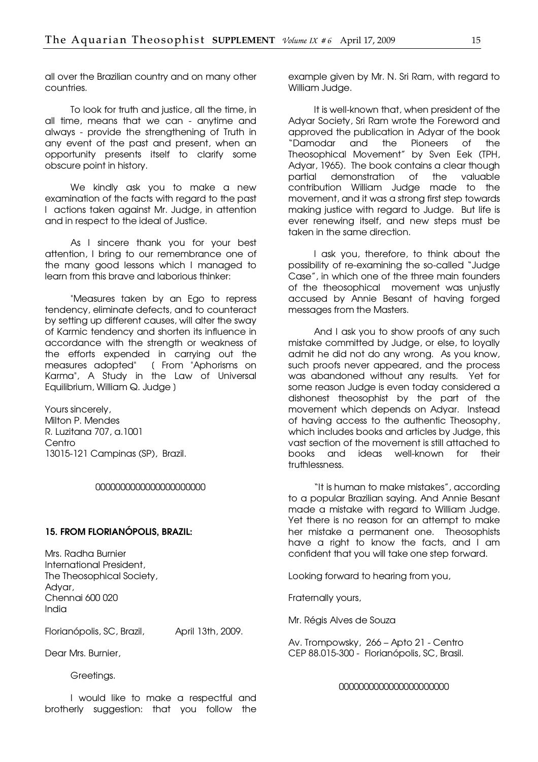all over the Brazilian country and on many other countries.

To look for truth and justice, all the time, in all time, means that we can - anytime and always - provide the strengthening of Truth in any event of the past and present, when an opportunity presents itself to clarify some obscure point in history.

We kindly ask you to make a new examination of the facts with regard to the past l actions taken against Mr. Judge, in attention and in respect to the ideal of Justice.

As I sincere thank you for your best attention, I bring to our remembrance one of the many good lessons which I managed to learn from this brave and laborious thinker:

"Measures taken by an Ego to repress tendency, eliminate defects, and to counteract by setting up different causes, will alter the sway of Karmic tendency and shorten its influence in accordance with the strength or weakness of the efforts expended in carrying out the measures adopted" (From "Aphorisms on Karma", A Study in the Law of Universal Equilibrium, William Q. Judge ]

Yours sincerely, Milton P. Mendes R. Luzitana 707, a.1001 **Centro** 13015-121 Campinas (SP), Brazil.

#### 0000000000000000000000

#### 15. FROM FLORIANÓPOLIS, BRAZIL:

Mrs. Radha Burnier International President, The Theosophical Society, Adyar, Chennai 600 020 India

Florianópolis, SC, Brazil, April 13th, 2009.

Dear Mrs. Burnier,

Greetings.

I would like to make a respectful and brotherly suggestion: that you follow the

example given by Mr. N. Sri Ram, with regard to William Judge.

It is well-known that, when president of the Adyar Society, Sri Ram wrote the Foreword and approved the publication in Adyar of the book "Damodar and the Pioneers of the Theosophical Movement" by Sven Eek (TPH, Adyar, 1965). The book contains a clear though partial demonstration of the valuable contribution William Judge made to the movement, and it was a strong first step towards making justice with regard to Judge. But life is ever renewing itself, and new steps must be taken in the same direction.

I ask you, therefore, to think about the possibility of re-examining the so-called "Judge Case", in which one of the three main founders of the theosophical movement was unjustly accused by Annie Besant of having forged messages from the Masters.

And I ask you to show proofs of any such mistake committed by Judge, or else, to loyally admit he did not do any wrong. As you know, such proofs never appeared, and the process was abandoned without any results. Yet for some reason Judge is even today considered a dishonest theosophist by the part of the movement which depends on Adyar. Instead of having access to the authentic Theosophy, which includes books and articles by Judge, this vast section of the movement is still attached to books and ideas well-known for their truthlessness.

"It is human to make mistakes", according to a popular Brazilian saying. And Annie Besant made a mistake with regard to William Judge. Yet there is no reason for an attempt to make her mistake a permanent one. Theosophists have a right to know the facts, and I am confident that you will take one step forward.

Looking forward to hearing from you,

Fraternally yours,

Mr. Régis Alves de Souza

Av. Trompowsky, 266 – Apto 21 - Centro CEP 88.015-300 - Florianópolis, SC, Brasil.

0000000000000000000000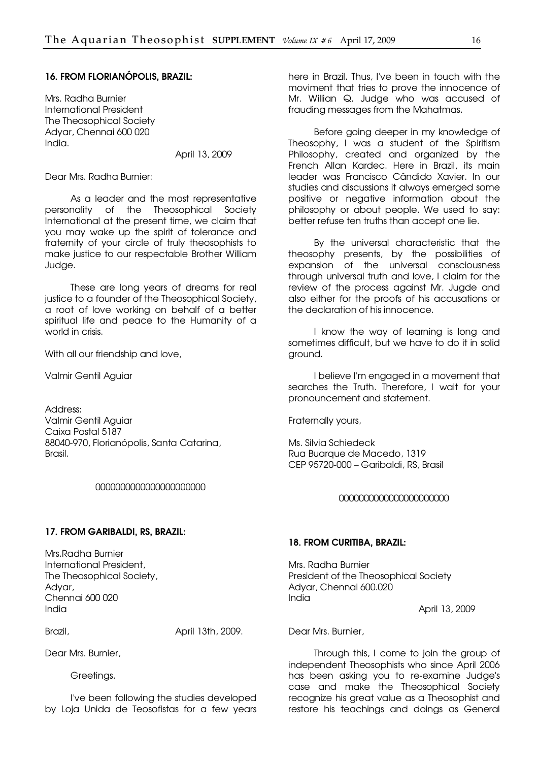#### 16. FROM FLORIANÓPOLIS, BRAZIL:

Mrs. Radha Burnier International President The Theosophical Society Adyar, Chennai 600 020 India.

April 13, 2009

Dear Mrs. Radha Burnier:

As a leader and the most representative personality of the Theosophical Society International at the present time, we claim that you may wake up the spirit of tolerance and fraternity of your circle of truly theosophists to make justice to our respectable Brother William Judge.

These are long years of dreams for real justice to a founder of the Theosophical Society, a root of love working on behalf of a better spiritual life and peace to the Humanity of a world in crisis.

With all our friendship and love,

Valmir Gentil Aguiar

Address: Valmir Gentil Aguiar Caixa Postal 5187 88040-970, Florianópolis, Santa Catarina, Brasil.

#### 0000000000000000000000

#### 17. FROM GARIBALDI, RS, BRAZIL:

Mrs.Radha Burnier International President, The Theosophical Society, Adyar, Chennai 600 020 India

Brazil, **Brazil,** *Brazil*, *Brazil*, *Brazil*, *Brazil*, *April 13th*, 2009.

Dear Mrs. Burnier,

Greetings.

I've been following the studies developed by Loja Unida de Teosofistas for a few years

here in Brazil. Thus, I've been in touch with the moviment that tries to prove the innocence of Mr. Willian Q. Judge who was accused of frauding messages from the Mahatmas.

Before going deeper in my knowledge of Theosophy, I was a student of the Spiritism Philosophy, created and organized by the French Allan Kardec. Here in Brazil, its main leader was Francisco Cândido Xavier. In our studies and discussions it always emerged some positive or negative information about the philosophy or about people. We used to say: better refuse ten truths than accept one lie.

By the universal characteristic that the theosophy presents, by the possibilities of expansion of the universal consciousness through universal truth and love, I claim for the review of the process against Mr. Jugde and also either for the proofs of his accusations or the declaration of his innocence.

I know the way of learning is long and sometimes difficult, but we have to do it in solid ground.

I believe I'm engaged in a movement that searches the Truth. Therefore, I wait for your pronouncement and statement.

Fraternally yours,

Ms. Silvia Schiedeck Rua Buarque de Macedo, 1319 CEP 95720-000 – Garibaldi, RS, Brasil

#### 0000000000000000000000

#### 18. FROM CURITIBA, BRAZIL:

Mrs. Radha Burnier President of the Theosophical Society Adyar, Chennai 600.020 India

April 13, 2009

Dear Mrs. Burnier,

Through this, I come to join the group of independent Theosophists who since April 2006 has been asking you to re-examine Judge's case and make the Theosophical Society recognize his great value as a Theosophist and restore his teachings and doings as General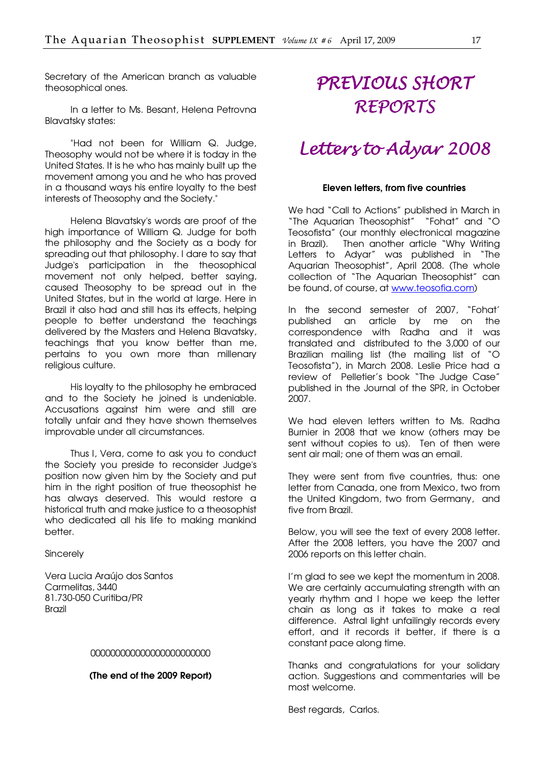<span id="page-16-0"></span>Secretary of the American branch as valuable theosophical ones.

In a letter to Ms. Besant, Helena Petrovna Blavatsky states:

"Had not been for William Q. Judge, Theosophy would not be where it is today in the United States. It is he who has mainly built up the movement among you and he who has proved in a thousand ways his entire loyalty to the best interests of Theosophy and the Society."

Helena Blavatsky's words are proof of the high importance of William Q. Judge for both the philosophy and the Society as a body for spreading out that philosophy. I dare to say that Judge's participation in the theosophical movement not only helped, better saying, caused Theosophy to be spread out in the United States, but in the world at large. Here in Brazil it also had and still has its effects, helping people to better understand the teachings delivered by the Masters and Helena Blavatsky, teachings that you know better than me, pertains to you own more than millenary religious culture.

His loyalty to the philosophy he embraced and to the Society he joined is undeniable. Accusations against him were and still are totally unfair and they have shown themselves improvable under all circumstances.

Thus I, Vera, come to ask you to conduct the Society you preside to reconsider Judge's position now given him by the Society and put him in the right position of true theosophist he has always deserved. This would restore a historical truth and make justice to a theosophist who dedicated all his life to making mankind better.

Sincerely

Vera Lucia Araújo dos Santos Carmelitas, 3440 81.730-050 Curitiba/PR Brazil

#### 000000000000000000000000

(The end of the 2009 Report)

## PREVIOUS SHORT REPORTS

### Letters to Adyar 2008

#### Eleven letters, from five countries

We had "Call to Actions" published in March in "The Aquarian Theosophist" "Fohat" and "O Teosofista" (our monthly electronical magazine in Brazil). Then another article "Why Writing Letters to Adyar" was published in "The Aquarian Theosophist", April 2008. (The whole collection of "The Aquarian Theosophist" can be found, of course, at [www.teosofia.com\)](http://www.teosofia.com/) 

In the second semester of 2007, "Fohat' published an article by me on the correspondence with Radha and it was translated and distributed to the 3,000 of our Brazilian mailing list (the mailing list of "O Teosofista"), in March 2008. Leslie Price had a review of Pelletier's book "The Judge Case" published in the Journal of the SPR, in October 2007.

We had eleven letters written to Ms. Radha Burnier in 2008 that we know (others may be sent without copies to us). Ten of then were sent air mail; one of them was an email.

They were sent from five countries, thus: one letter from Canada, one from Mexico, two from the United Kingdom, two from Germany, and five from Brazil.

Below, you will see the text of every 2008 letter. After the 2008 letters, you have the 2007 and 2006 reports on this letter chain.

I'm glad to see we kept the momentum in 2008. We are certainly accumulating strength with an yearly rhythm and I hope we keep the letter chain as long as it takes to make a real difference. Astral light unfailingly records every effort, and it records it better, if there is a constant pace along time.

Thanks and congratulations for your solidary action. Suggestions and commentaries will be most welcome.

Best regards, Carlos.